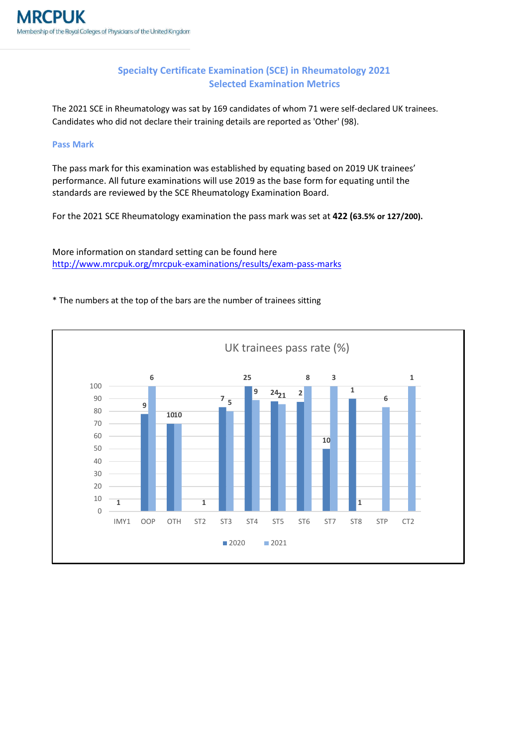## **Specialty Certificate Examination (SCE) in Rheumatology 2021 Selected Examination Metrics**

The 2021 SCE in Rheumatology was sat by 169 candidates of whom 71 were self-declared UK trainees. Candidates who did not declare their training details are reported as 'Other' (98).

## **Pass Mark**

The pass mark for this examination was established by equating based on 2019 UK trainees' performance. All future examinations will use 2019 as the base form for equating until the standards are reviewed by the SCE Rheumatology Examination Board.

For the 2021 SCE Rheumatology examination the pass mark was set at **422 (63.5% or 127/200).**

More information on standard setting can be found here <http://www.mrcpuk.org/mrcpuk-examinations/results/exam-pass-marks>

## \* The numbers at the top of the bars are the number of trainees sitting

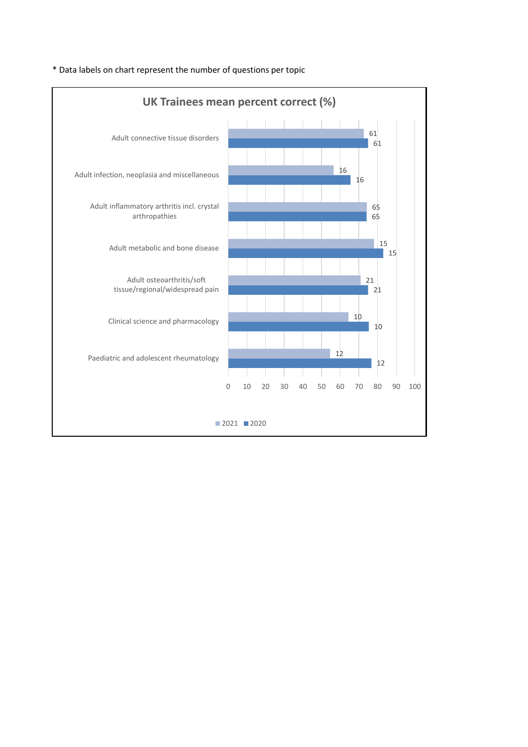

\* Data labels on chart represent the number of questions per topic